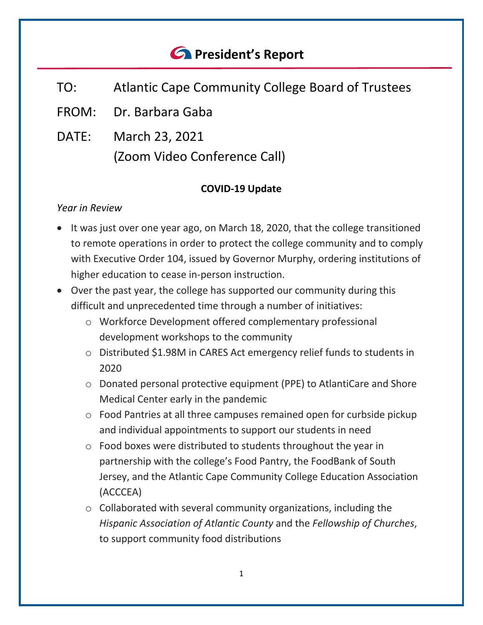# *<u>C* President's Report</u>

- TO: Atlantic Cape Community College Board of Trustees
- FROM: Dr. Barbara Gaba
- DATE: March 23, 2021 (Zoom Video Conference Call)

#### **COVID-19 Update**

#### *Year in Review*

- It was just over one year ago, on March 18, 2020, that the college transitioned to remote operations in order to protect the college community and to comply with Executive Order 104, issued by Governor Murphy, ordering institutions of higher education to cease in-person instruction.
- Over the past year, the college has supported our community during this difficult and unprecedented time through a number of initiatives:
	- o Workforce Development offered complementary professional development workshops to the community
	- o Distributed \$1.98M in CARES Act emergency relief funds to students in 2020
	- o Donated personal protective equipment (PPE) to AtlantiCare and Shore Medical Center early in the pandemic
	- o Food Pantries at all three campuses remained open for curbside pickup and individual appointments to support our students in need
	- o Food boxes were distributed to students throughout the year in partnership with the college's Food Pantry, the FoodBank of South Jersey, and the Atlantic Cape Community College Education Association (ACCCEA)
	- o Collaborated with several community organizations, including the *Hispanic Association of Atlantic County* and the *Fellowship of Churches*, to support community food distributions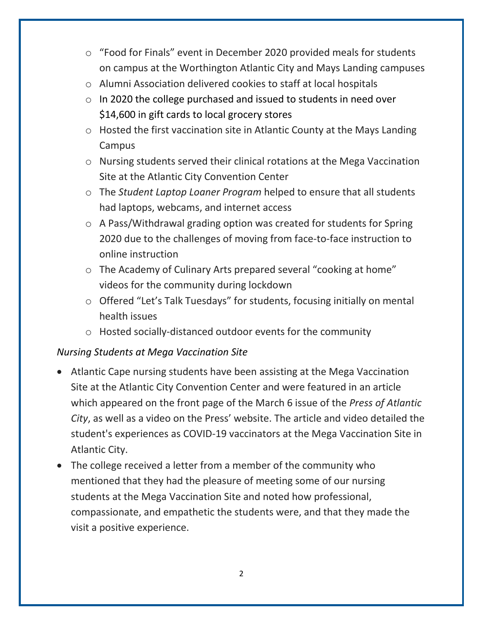- o "Food for Finals" event in December 2020 provided meals for students on campus at the Worthington Atlantic City and Mays Landing campuses
- o Alumni Association delivered cookies to staff at local hospitals
- o In 2020 the college purchased and issued to students in need over \$14,600 in gift cards to local grocery stores
- o Hosted the first vaccination site in Atlantic County at the Mays Landing Campus
- o Nursing students served their clinical rotations at the Mega Vaccination Site at the Atlantic City Convention Center
- o The *Student Laptop Loaner Program* helped to ensure that all students had laptops, webcams, and internet access
- o A Pass/Withdrawal grading option was created for students for Spring 2020 due to the challenges of moving from face-to-face instruction to online instruction
- o The Academy of Culinary Arts prepared several "cooking at home" videos for the community during lockdown
- o Offered "Let's Talk Tuesdays" for students, focusing initially on mental health issues
- o Hosted socially-distanced outdoor events for the community

#### *Nursing Students at Mega Vaccination Site*

- Atlantic Cape nursing students have been assisting at the Mega Vaccination Site at the Atlantic City Convention Center and were featured in an article which appeared on the front page of the March 6 issue of the *Press of Atlantic City*, as well as a video on the Press' website. The article and video detailed the student's experiences as COVID-19 vaccinators at the Mega Vaccination Site in Atlantic City.
- The college received a letter from a member of the community who mentioned that they had the pleasure of meeting some of our nursing students at the Mega Vaccination Site and noted how professional, compassionate, and empathetic the students were, and that they made the visit a positive experience.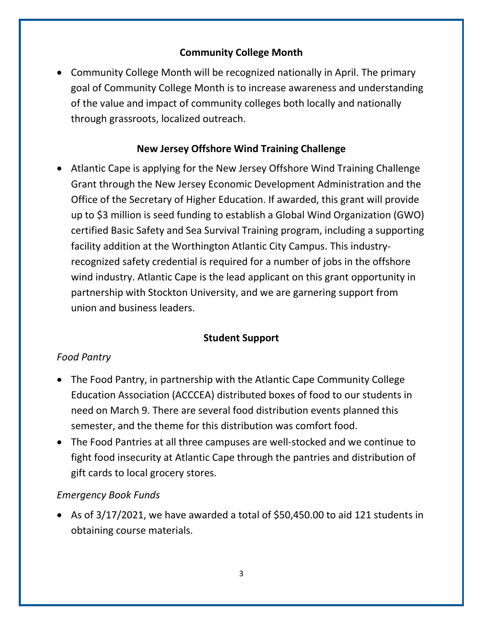# **Community College Month**

• Community College Month will be recognized nationally in April. The primary goal of Community College Month is to increase awareness and understanding of the value and impact of community colleges both locally and nationally through grassroots, localized outreach.

# **New Jersey Offshore Wind Training Challenge**

• Atlantic Cape is applying for the New Jersey Offshore Wind Training Challenge Grant through the New Jersey Economic Development Administration and the Office of the Secretary of Higher Education. If awarded, this grant will provide up to \$3 million is seed funding to establish a Global Wind Organization (GWO) certified Basic Safety and Sea Survival Training program, including a supporting facility addition at the Worthington Atlantic City Campus. This industryrecognized safety credential is required for a number of jobs in the offshore wind industry. Atlantic Cape is the lead applicant on this grant opportunity in partnership with Stockton University, and we are garnering support from union and business leaders.

# **Student Support**

#### *Food Pantry*

- The Food Pantry, in partnership with the Atlantic Cape Community College Education Association (ACCCEA) distributed boxes of food to our students in need on March 9. There are several food distribution events planned this semester, and the theme for this distribution was comfort food.
- The Food Pantries at all three campuses are well-stocked and we continue to fight food insecurity at Atlantic Cape through the pantries and distribution of gift cards to local grocery stores.

#### *Emergency Book Funds*

• As of 3/17/2021, we have awarded a total of \$50,450.00 to aid 121 students in obtaining course materials.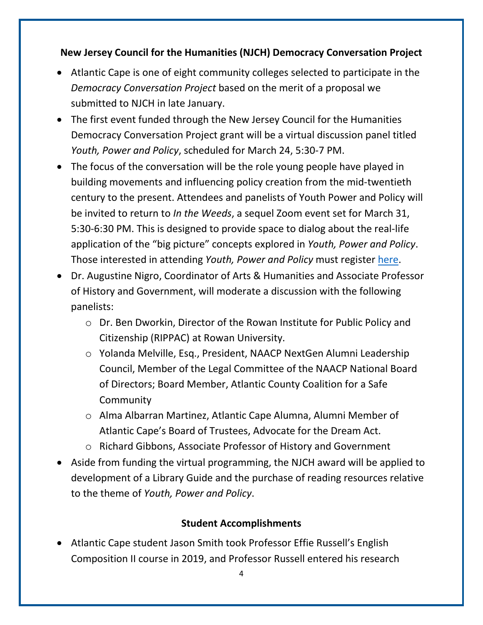**New Jersey Council for the Humanities (NJCH) Democracy Conversation Project**

- Atlantic Cape is one of eight community colleges selected to participate in the *Democracy Conversation Project* based on the merit of a proposal we submitted to NJCH in late January.
- The first event funded through the New Jersey Council for the Humanities Democracy Conversation Project grant will be a virtual discussion panel titled *Youth, Power and Policy*, scheduled for March 24, 5:30-7 PM.
- The focus of the conversation will be the role young people have played in building movements and influencing policy creation from the mid-twentieth century to the present. Attendees and panelists of Youth Power and Policy will be invited to return to *In the Weeds*, a sequel Zoom event set for March 31, 5:30-6:30 PM. This is designed to provide space to dialog about the real-life application of the "big picture" concepts explored in *Youth, Power and Policy*. Those interested in attending *Youth, Power and Policy* must register [here.](https://www.eventbrite.com/e/youth-power-policy-a-dcp-event-tickets-144031340617)
- Dr. Augustine Nigro, Coordinator of Arts & Humanities and Associate Professor of History and Government, will moderate a discussion with the following panelists:
	- o Dr. Ben Dworkin, Director of the Rowan Institute for Public Policy and Citizenship (RIPPAC) at Rowan University.
	- o Yolanda Melville, Esq., President, NAACP NextGen Alumni Leadership Council, Member of the Legal Committee of the NAACP National Board of Directors; Board Member, Atlantic County Coalition for a Safe Community
	- o Alma Albarran Martinez, Atlantic Cape Alumna, Alumni Member of Atlantic Cape's Board of Trustees, Advocate for the Dream Act.
	- o Richard Gibbons, Associate Professor of History and Government
- Aside from funding the virtual programming, the NJCH award will be applied to development of a Library Guide and the purchase of reading resources relative to the theme of *Youth, Power and Policy*.

# **Student Accomplishments**

• Atlantic Cape student Jason Smith took Professor Effie Russell's English Composition II course in 2019, and Professor Russell entered his research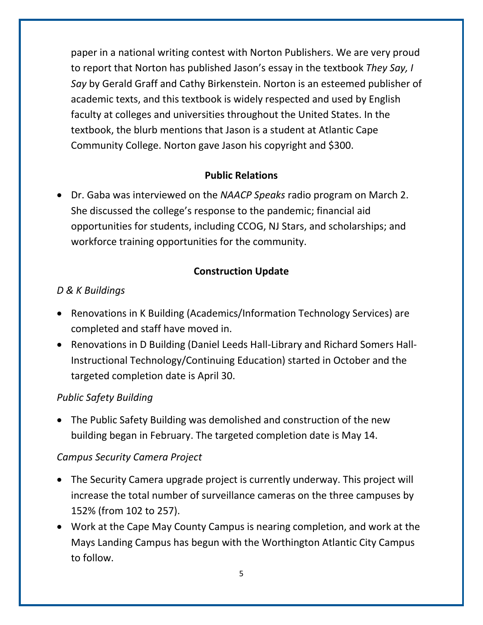paper in a national writing contest with Norton Publishers. We are very proud to report that Norton has published Jason's essay in the textbook *They Say, I Say* by Gerald Graff and Cathy Birkenstein. Norton is an esteemed publisher of academic texts, and this textbook is widely respected and used by English faculty at colleges and universities throughout the United States. In the textbook, the blurb mentions that Jason is a student at Atlantic Cape Community College. Norton gave Jason his copyright and \$300.

#### **Public Relations**

• Dr. Gaba was interviewed on the *NAACP Speaks* radio program on March 2. She discussed the college's response to the pandemic; financial aid opportunities for students, including CCOG, NJ Stars, and scholarships; and workforce training opportunities for the community.

# **Construction Update**

#### *D & K Buildings*

- Renovations in K Building (Academics/Information Technology Services) are completed and staff have moved in.
- Renovations in D Building (Daniel Leeds Hall-Library and Richard Somers Hall-Instructional Technology/Continuing Education) started in October and the targeted completion date is April 30.

# *Public Safety Building*

• The Public Safety Building was demolished and construction of the new building began in February. The targeted completion date is May 14.

#### *Campus Security Camera Project*

- The Security Camera upgrade project is currently underway. This project will increase the total number of surveillance cameras on the three campuses by 152% (from 102 to 257).
- Work at the Cape May County Campus is nearing completion, and work at the Mays Landing Campus has begun with the Worthington Atlantic City Campus to follow.